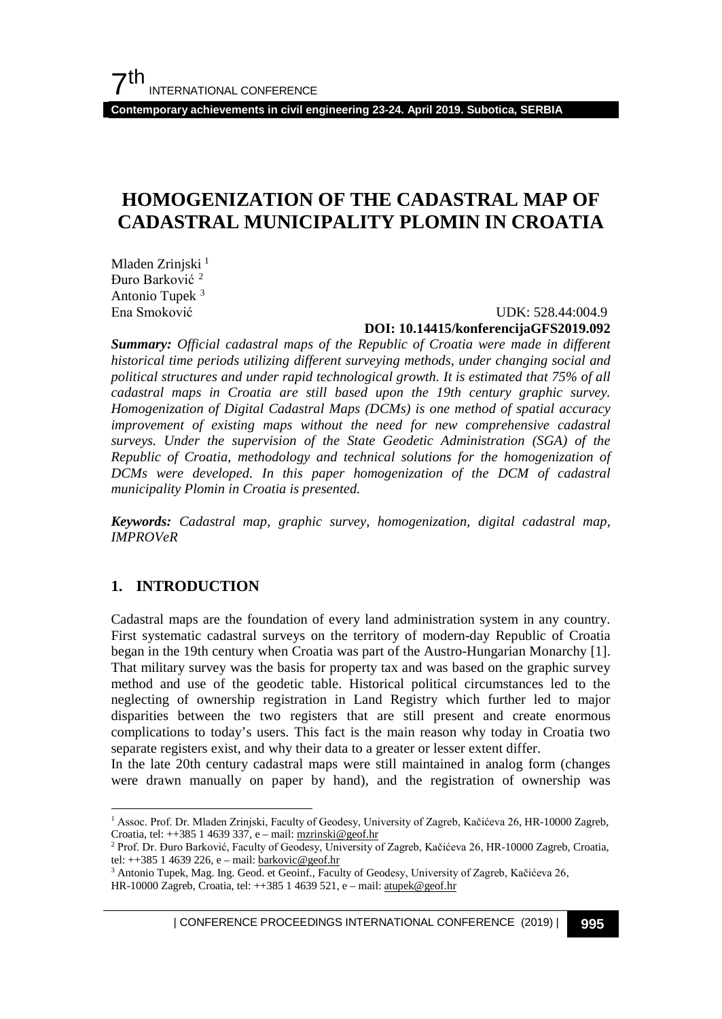**Contemporary achievements in civil engineering 23-24. April 2019. Subotica, SERBIA**

# **HOMOGENIZATION OF THE CADASTRAL MAP OF CADASTRAL MUNICIPALITY PLOMIN IN CROATIA**

Mladen Zrinjski<sup>[1](#page-0-0)</sup> Đuro Barković [2](#page-0-1) Antonio Tupek<sup>[3](#page-0-2)</sup><br>Ena Smoković

## UDK: 528.44:004.9

### **DOI: 10.14415/konferencijaGFS2019.092**

*Summary: Official cadastral maps of the Republic of Croatia were made in different historical time periods utilizing different surveying methods, under changing social and political structures and under rapid technological growth. It is estimated that 75% of all cadastral maps in Croatia are still based upon the 19th century graphic survey. Homogenization of Digital Cadastral Maps (DCMs) is one method of spatial accuracy improvement of existing maps without the need for new comprehensive cadastral surveys. Under the supervision of the State Geodetic Administration (SGA) of the Republic of Croatia, methodology and technical solutions for the homogenization of DCMs were developed. In this paper homogenization of the DCM of cadastral municipality Plomin in Croatia is presented.*

*Keywords: Cadastral map, graphic survey, homogenization, digital cadastral map, IMPROVeR*

### **1. INTRODUCTION**

Cadastral maps are the foundation of every land administration system in any country. First systematic cadastral surveys on the territory of modern-day Republic of Croatia began in the 19th century when Croatia was part of the Austro-Hungarian Monarchy [1]. That military survey was the basis for property tax and was based on the graphic survey method and use of the geodetic table. Historical political circumstances led to the neglecting of ownership registration in Land Registry which further led to major disparities between the two registers that are still present and create enormous complications to today's users. This fact is the main reason why today in Croatia two separate registers exist, and why their data to a greater or lesser extent differ.

In the late 20th century cadastral maps were still maintained in analog form (changes were drawn manually on paper by hand), and the registration of ownership was

<span id="page-0-0"></span> <sup>1</sup> Assoc. Prof. Dr. Mladen Zrinjski, Faculty of Geodesy, University of Zagreb, Kačićeva 26, HR-10000 Zagreb, Croatia, tel: ++385 1 4639 337, e – mail[: mzrinski@geof.hr](mailto:mzrinski@geof.hr)

<span id="page-0-1"></span><sup>2</sup> Prof. Dr. Đuro Barković, Faculty of Geodesy, University of Zagreb, Kačićeva 26, HR-10000 Zagreb, Croatia, tel: ++385 1 4639 226, e – mail[: barkovic@geof.hr](mailto:barkovic@geof.hr)

<span id="page-0-2"></span><sup>&</sup>lt;sup>3</sup> Antonio Tupek, Mag. Ing. Geod. et Geoinf., Faculty of Geodesy, University of Zagreb, Kačićeva 26, HR-10000 Zagreb, Croatia, tel: ++385 1 4639 521, e – mail[: atupek@geof.hr](mailto:atupek@geof.hr)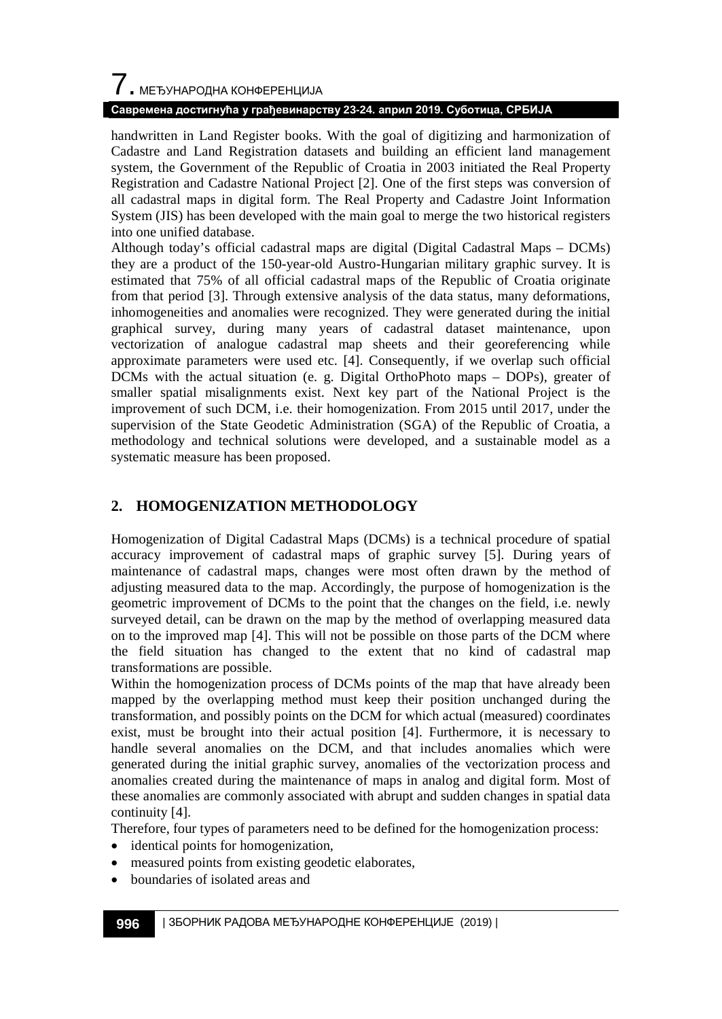handwritten in Land Register books. With the goal of digitizing and harmonization of Cadastre and Land Registration datasets and building an efficient land management system, the Government of the Republic of Croatia in 2003 initiated the Real Property Registration and Cadastre National Project [2]. One of the first steps was conversion of all cadastral maps in digital form. The Real Property and Cadastre Joint Information System (JIS) has been developed with the main goal to merge the two historical registers into one unified database.

Although today's official cadastral maps are digital (Digital Cadastral Maps – DCMs) they are a product of the 150-year-old Austro-Hungarian military graphic survey. It is estimated that 75% of all official cadastral maps of the Republic of Croatia originate from that period [3]. Through extensive analysis of the data status, many deformations, inhomogeneities and anomalies were recognized. They were generated during the initial graphical survey, during many years of cadastral dataset maintenance, upon vectorization of analogue cadastral map sheets and their georeferencing while approximate parameters were used etc. [4]. Consequently, if we overlap such official DCMs with the actual situation (e. g. Digital OrthoPhoto maps – DOPs), greater of smaller spatial misalignments exist. Next key part of the National Project is the improvement of such DCM, i.e. their homogenization. From 2015 until 2017, under the supervision of the State Geodetic Administration (SGA) of the Republic of Croatia, a methodology and technical solutions were developed, and a sustainable model as a systematic measure has been proposed.

## **2. HOMOGENIZATION METHODOLOGY**

Homogenization of Digital Cadastral Maps (DCMs) is a technical procedure of spatial accuracy improvement of cadastral maps of graphic survey [5]. During years of maintenance of cadastral maps, changes were most often drawn by the method of adjusting measured data to the map. Accordingly, the purpose of homogenization is the geometric improvement of DCMs to the point that the changes on the field, i.e. newly surveyed detail, can be drawn on the map by the method of overlapping measured data on to the improved map [4]. This will not be possible on those parts of the DCM where the field situation has changed to the extent that no kind of cadastral map transformations are possible.

Within the homogenization process of DCMs points of the map that have already been mapped by the overlapping method must keep their position unchanged during the transformation, and possibly points on the DCM for which actual (measured) coordinates exist, must be brought into their actual position [4]. Furthermore, it is necessary to handle several anomalies on the DCM, and that includes anomalies which were generated during the initial graphic survey, anomalies of the vectorization process and anomalies created during the maintenance of maps in analog and digital form. Most of these anomalies are commonly associated with abrupt and sudden changes in spatial data continuity [4].

Therefore, four types of parameters need to be defined for the homogenization process:

- identical points for homogenization,
- measured points from existing geodetic elaborates,
- boundaries of isolated areas and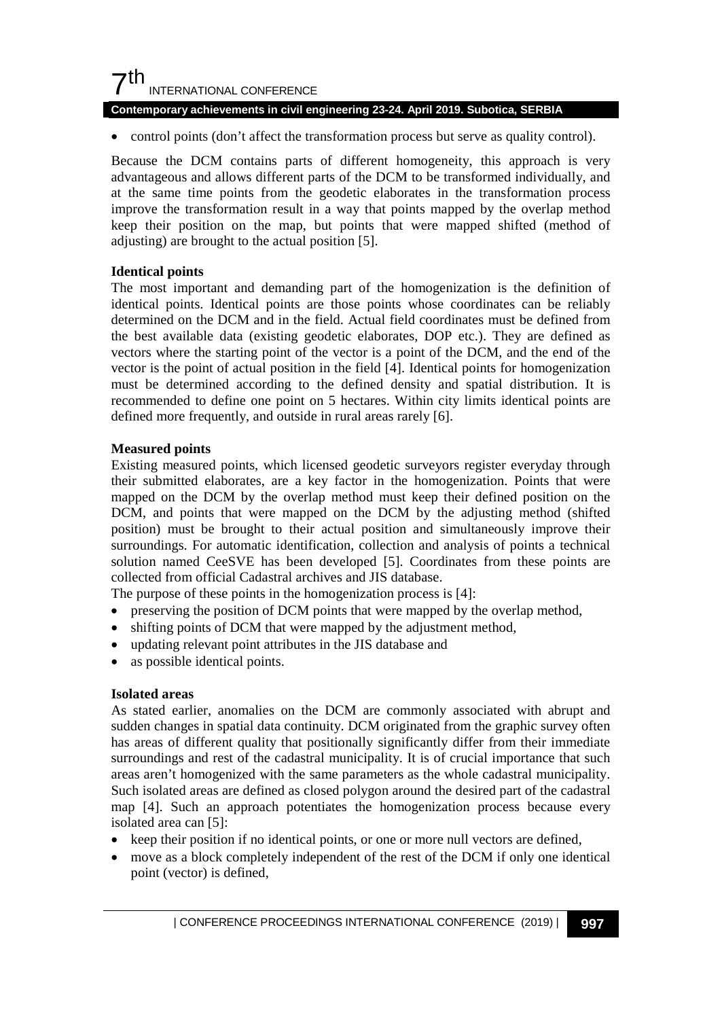## $7<sup>th</sup>$ INTERNATIONAL CONFERENCE

#### **Contemporary achievements in civil engineering 23-24. April 2019. Subotica, SERBIA**

• control points (don't affect the transformation process but serve as quality control).

Because the DCM contains parts of different homogeneity, this approach is very advantageous and allows different parts of the DCM to be transformed individually, and at the same time points from the geodetic elaborates in the transformation process improve the transformation result in a way that points mapped by the overlap method keep their position on the map, but points that were mapped shifted (method of adjusting) are brought to the actual position [5].

#### **Identical points**

The most important and demanding part of the homogenization is the definition of identical points. Identical points are those points whose coordinates can be reliably determined on the DCM and in the field. Actual field coordinates must be defined from the best available data (existing geodetic elaborates, DOP etc.). They are defined as vectors where the starting point of the vector is a point of the DCM, and the end of the vector is the point of actual position in the field [4]. Identical points for homogenization must be determined according to the defined density and spatial distribution. It is recommended to define one point on 5 hectares. Within city limits identical points are defined more frequently, and outside in rural areas rarely [6].

#### **Measured points**

Existing measured points, which licensed geodetic surveyors register everyday through their submitted elaborates, are a key factor in the homogenization. Points that were mapped on the DCM by the overlap method must keep their defined position on the DCM, and points that were mapped on the DCM by the adjusting method (shifted position) must be brought to their actual position and simultaneously improve their surroundings. For automatic identification, collection and analysis of points a technical solution named CeeSVE has been developed [5]. Coordinates from these points are collected from official Cadastral archives and JIS database.

The purpose of these points in the homogenization process is [4]:

- preserving the position of DCM points that were mapped by the overlap method,
- shifting points of DCM that were mapped by the adjustment method,
- updating relevant point attributes in the JIS database and
- as possible identical points.

#### **Isolated areas**

As stated earlier, anomalies on the DCM are commonly associated with abrupt and sudden changes in spatial data continuity. DCM originated from the graphic survey often has areas of different quality that positionally significantly differ from their immediate surroundings and rest of the cadastral municipality. It is of crucial importance that such areas aren't homogenized with the same parameters as the whole cadastral municipality. Such isolated areas are defined as closed polygon around the desired part of the cadastral map [4]. Such an approach potentiates the homogenization process because every isolated area can [5]:

- keep their position if no identical points, or one or more null vectors are defined,
- move as a block completely independent of the rest of the DCM if only one identical point (vector) is defined,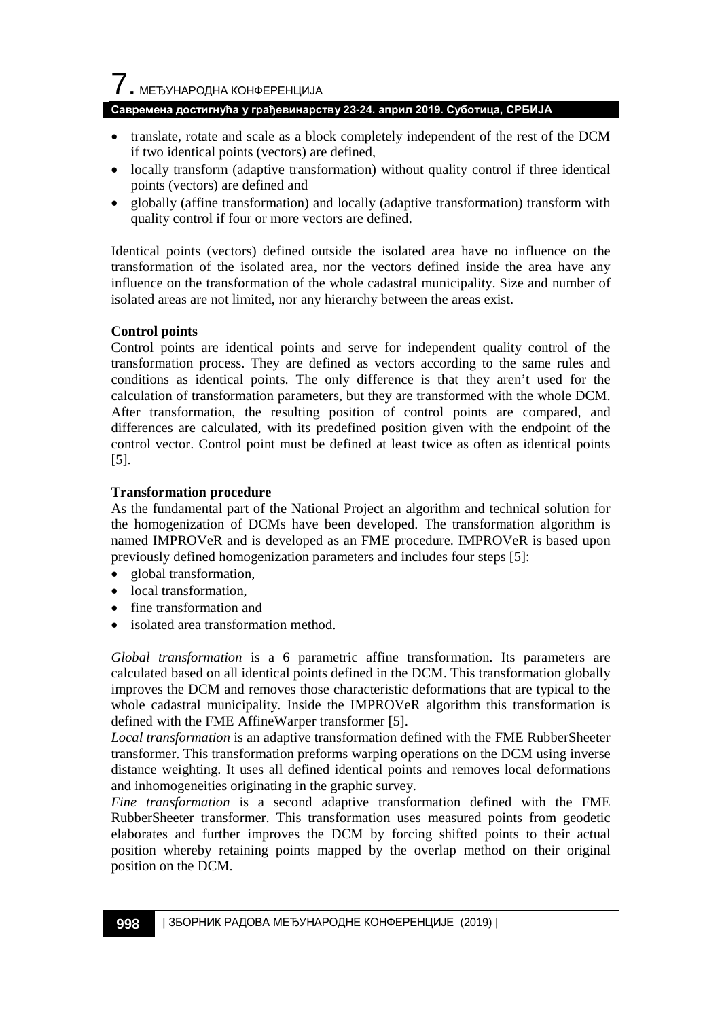$\overline{\phantom{a}}$ . МЕЂУНАРОДНА КОНФЕРЕНЦИЈА

#### **Савремена достигнућа у грађевинарству 23-24. април 2019. Суботица, СРБИЈА**

- translate, rotate and scale as a block completely independent of the rest of the DCM if two identical points (vectors) are defined,
- locally transform (adaptive transformation) without quality control if three identical points (vectors) are defined and
- globally (affine transformation) and locally (adaptive transformation) transform with quality control if four or more vectors are defined.

Identical points (vectors) defined outside the isolated area have no influence on the transformation of the isolated area, nor the vectors defined inside the area have any influence on the transformation of the whole cadastral municipality. Size and number of isolated areas are not limited, nor any hierarchy between the areas exist.

#### **Control points**

Control points are identical points and serve for independent quality control of the transformation process. They are defined as vectors according to the same rules and conditions as identical points. The only difference is that they aren't used for the calculation of transformation parameters, but they are transformed with the whole DCM. After transformation, the resulting position of control points are compared, and differences are calculated, with its predefined position given with the endpoint of the control vector. Control point must be defined at least twice as often as identical points [5].

#### **Transformation procedure**

As the fundamental part of the National Project an algorithm and technical solution for the homogenization of DCMs have been developed. The transformation algorithm is named IMPROVeR and is developed as an FME procedure. IMPROVeR is based upon previously defined homogenization parameters and includes four steps [5]:

- global transformation,
- local transformation.
- fine transformation and
- isolated area transformation method.

*Global transformation* is a 6 parametric affine transformation. Its parameters are calculated based on all identical points defined in the DCM. This transformation globally improves the DCM and removes those characteristic deformations that are typical to the whole cadastral municipality. Inside the IMPROVeR algorithm this transformation is defined with the FME AffineWarper transformer [5].

*Local transformation* is an adaptive transformation defined with the FME RubberSheeter transformer. This transformation preforms warping operations on the DCM using inverse distance weighting. It uses all defined identical points and removes local deformations and inhomogeneities originating in the graphic survey.

*Fine transformation* is a second adaptive transformation defined with the FME RubberSheeter transformer. This transformation uses measured points from geodetic elaborates and further improves the DCM by forcing shifted points to their actual position whereby retaining points mapped by the overlap method on their original position on the DCM.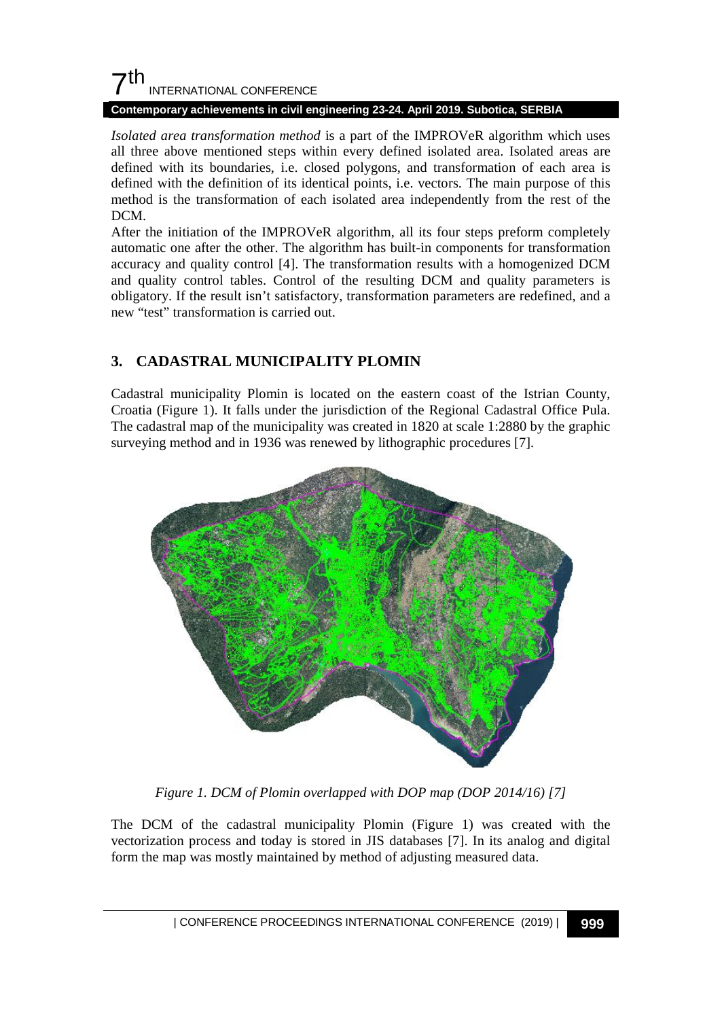

#### **Contemporary achievements in civil engineering 23-24. April 2019. Subotica, SERBIA**

*Isolated area transformation method* is a part of the IMPROVeR algorithm which uses all three above mentioned steps within every defined isolated area. Isolated areas are defined with its boundaries, i.e. closed polygons, and transformation of each area is defined with the definition of its identical points, i.e. vectors. The main purpose of this method is the transformation of each isolated area independently from the rest of the DCM.

After the initiation of the IMPROVeR algorithm, all its four steps preform completely automatic one after the other. The algorithm has built-in components for transformation accuracy and quality control [4]. The transformation results with a homogenized DCM and quality control tables. Control of the resulting DCM and quality parameters is obligatory. If the result isn't satisfactory, transformation parameters are redefined, and a new "test" transformation is carried out.

### **3. CADASTRAL MUNICIPALITY PLOMIN**

Cadastral municipality Plomin is located on the eastern coast of the Istrian County, Croatia (Figure 1). It falls under the jurisdiction of the Regional Cadastral Office Pula. The cadastral map of the municipality was created in 1820 at scale 1:2880 by the graphic surveying method and in 1936 was renewed by lithographic procedures [7].



*Figure 1. DCM of Plomin overlapped with DOP map (DOP 2014/16) [7]*

The DCM of the cadastral municipality Plomin (Figure 1) was created with the vectorization process and today is stored in JIS databases [7]. In its analog and digital form the map was mostly maintained by method of adjusting measured data.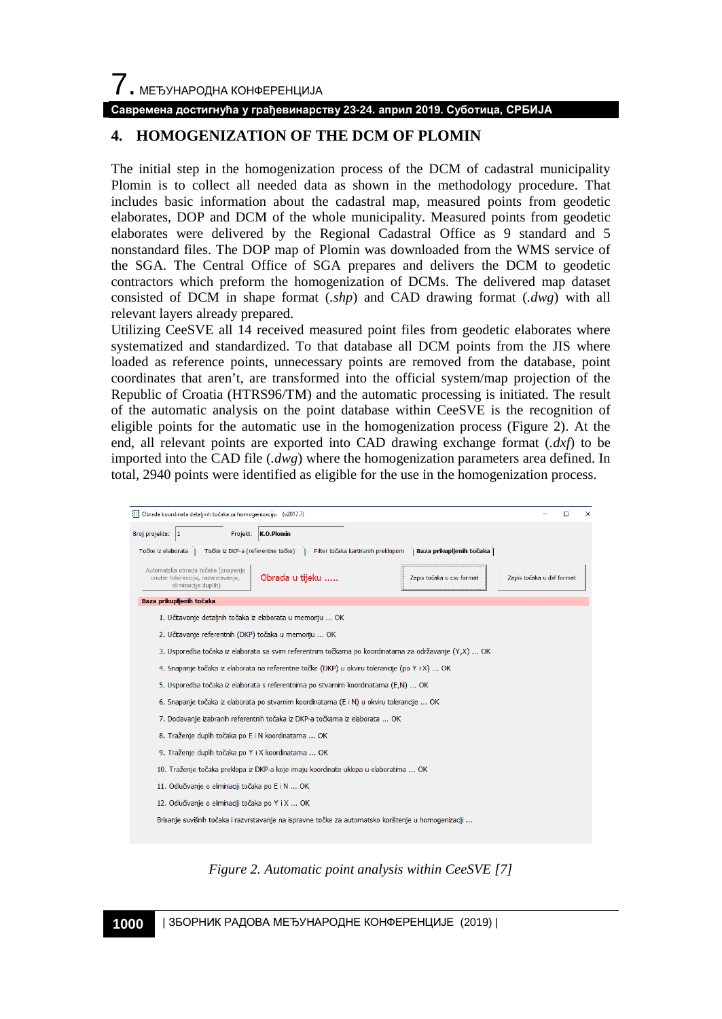### **4. HOMOGENIZATION OF THE DCM OF PLOMIN**

The initial step in the homogenization process of the DCM of cadastral municipality Plomin is to collect all needed data as shown in the methodology procedure. That includes basic information about the cadastral map, measured points from geodetic elaborates, DOP and DCM of the whole municipality. Measured points from geodetic elaborates were delivered by the Regional Cadastral Office as 9 standard and 5 nonstandard files. The DOP map of Plomin was downloaded from the WMS service of the SGA. The Central Office of SGA prepares and delivers the DCM to geodetic contractors which preform the homogenization of DCMs. The delivered map dataset consisted of DCM in shape format (*.shp*) and CAD drawing format (*.dwg*) with all relevant layers already prepared.

Utilizing CeeSVE all 14 received measured point files from geodetic elaborates where systematized and standardized. To that database all DCM points from the JIS where loaded as reference points, unnecessary points are removed from the database, point coordinates that aren't, are transformed into the official system/map projection of the Republic of Croatia (HTRS96/TM) and the automatic processing is initiated. The result of the automatic analysis on the point database within CeeSVE is the recognition of eligible points for the automatic use in the homogenization process (Figure 2). At the end, all relevant points are exported into CAD drawing exchange format (*.dxf*) to be imported into the CAD file (*.dwg*) where the homogenization parameters area defined. In total, 2940 points were identified as eligible for the use in the homogenization process.



*Figure 2. Automatic point analysis within CeeSVE [7]*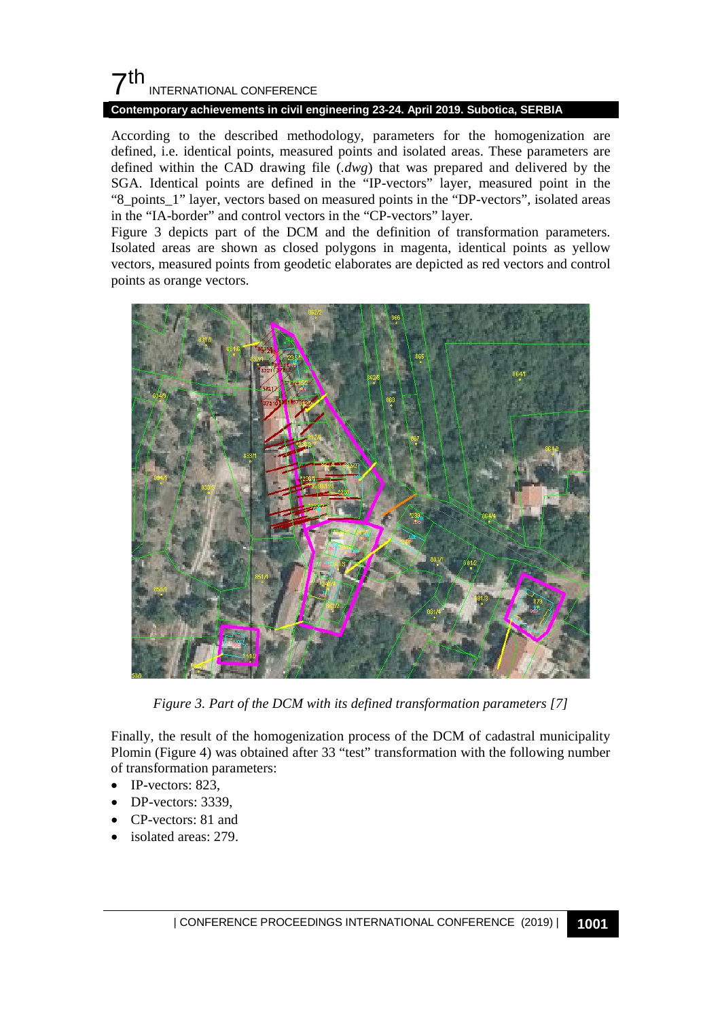## $7<sup>th</sup>$ INTERNATIONAL CONFERENCE

#### **Contemporary achievements in civil engineering 23-24. April 2019. Subotica, SERBIA**

According to the described methodology, parameters for the homogenization are defined, i.e. identical points, measured points and isolated areas. These parameters are defined within the CAD drawing file (*.dwg*) that was prepared and delivered by the SGA. Identical points are defined in the "IP-vectors" layer, measured point in the "8\_points\_1" layer, vectors based on measured points in the "DP-vectors", isolated areas in the "IA-border" and control vectors in the "CP-vectors" layer.

Figure 3 depicts part of the DCM and the definition of transformation parameters. Isolated areas are shown as closed polygons in magenta, identical points as yellow vectors, measured points from geodetic elaborates are depicted as red vectors and control points as orange vectors.



*Figure 3. Part of the DCM with its defined transformation parameters [7]*

Finally, the result of the homogenization process of the DCM of cadastral municipality Plomin (Figure 4) was obtained after 33 "test" transformation with the following number of transformation parameters:

- IP-vectors: 823.
- DP-vectors: 3339,
- CP-vectors: 81 and
- isolated areas: 279.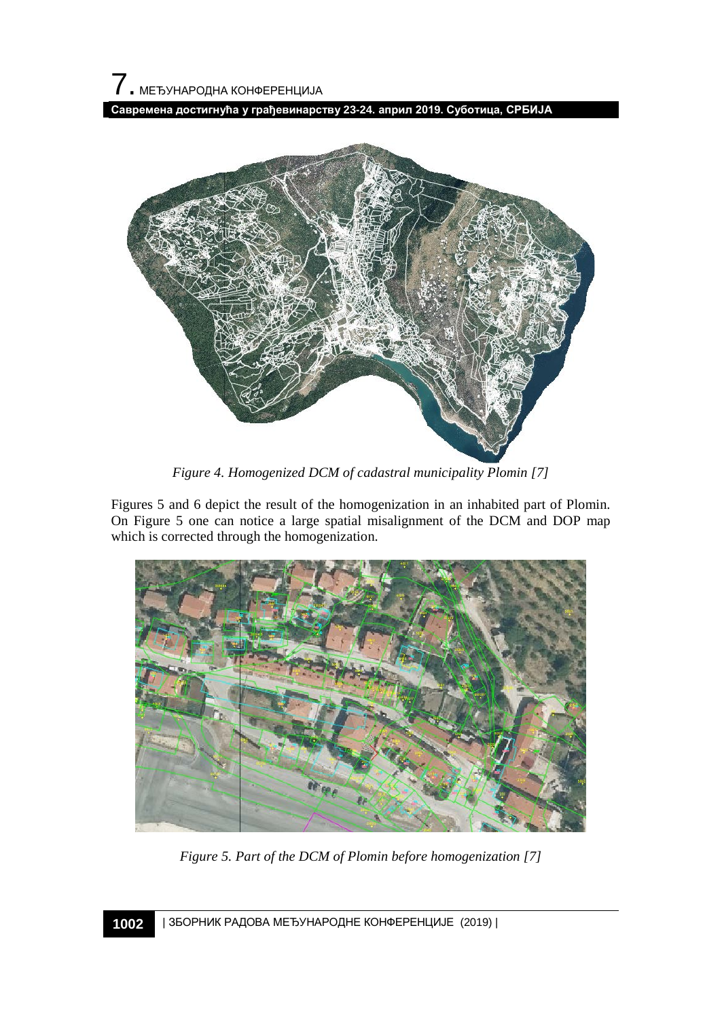

*Figure 4. Homogenized DCM of cadastral municipality Plomin [7]*

Figures 5 and 6 depict the result of the homogenization in an inhabited part of Plomin. On Figure 5 one can notice a large spatial misalignment of the DCM and DOP map which is corrected through the homogenization.



*Figure 5. Part of the DCM of Plomin before homogenization [7]*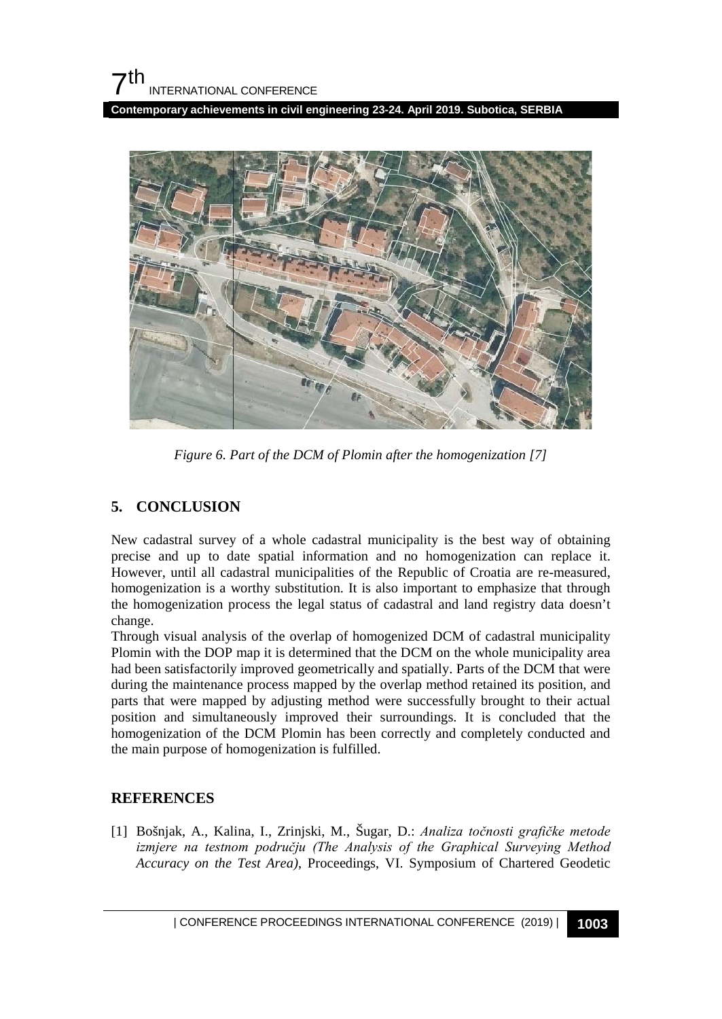**Contemporary achievements in civil engineering 23-24. April 2019. Subotica, SERBIA**



*Figure 6. Part of the DCM of Plomin after the homogenization [7]*

## **5. CONCLUSION**

New cadastral survey of a whole cadastral municipality is the best way of obtaining precise and up to date spatial information and no homogenization can replace it. However, until all cadastral municipalities of the Republic of Croatia are re-measured, homogenization is a worthy substitution. It is also important to emphasize that through the homogenization process the legal status of cadastral and land registry data doesn't change.

Through visual analysis of the overlap of homogenized DCM of cadastral municipality Plomin with the DOP map it is determined that the DCM on the whole municipality area had been satisfactorily improved geometrically and spatially. Parts of the DCM that were during the maintenance process mapped by the overlap method retained its position, and parts that were mapped by adjusting method were successfully brought to their actual position and simultaneously improved their surroundings. It is concluded that the homogenization of the DCM Plomin has been correctly and completely conducted and the main purpose of homogenization is fulfilled.

## **REFERENCES**

[1] Bošnjak, A., Kalina, I., Zrinjski, M., Šugar, D.: *Analiza točnosti grafičke metode izmjere na testnom području (The Analysis of the Graphical Surveying Method Accuracy on the Test Area)*, Proceedings, VI. Symposium of Chartered Geodetic